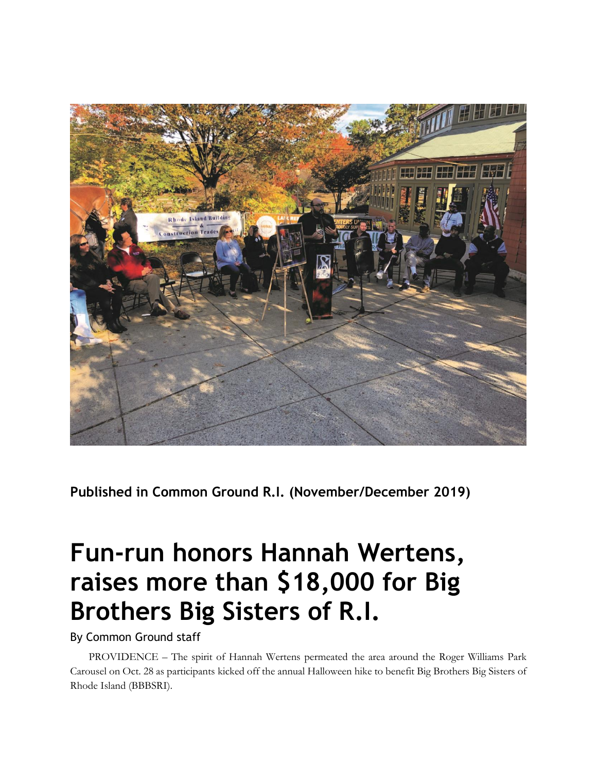

**Published in Common Ground R.I. (November/December 2019)**

## **Fun-run honors Hannah Wertens, raises more than \$18,000 for Big Brothers Big Sisters of R.I.**

By Common Ground staff

PROVIDENCE – The spirit of Hannah Wertens permeated the area around the Roger Williams Park Carousel on Oct. 28 as participants kicked off the annual Halloween hike to benefit Big Brothers Big Sisters of Rhode Island (BBBSRI).